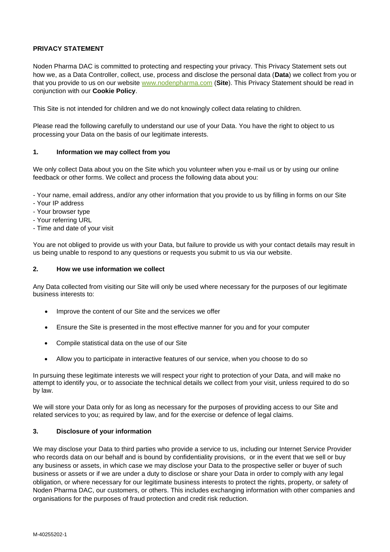## **PRIVACY STATEMENT**

Noden Pharma DAC is committed to protecting and respecting your privacy. This Privacy Statement sets out how we, as a Data Controller, collect, use, process and disclose the personal data (**Data**) we collect from you or that you provide to us on our website [www.nodenpharma.com](http://www.nodenpharma.com/) (**Site**). This Privacy Statement should be read in conjunction with our **Cookie Policy**.

This Site is not intended for children and we do not knowingly collect data relating to children.

Please read the following carefully to understand our use of your Data. You have the right to object to us processing your Data on the basis of our legitimate interests.

#### **1. Information we may collect from you**

We only collect Data about you on the Site which you volunteer when you e-mail us or by using our online feedback or other forms. We collect and process the following data about you:

- Your name, email address, and/or any other information that you provide to us by filling in forms on our Site
- Your IP address
- Your browser type
- Your referring URL
- Time and date of your visit

You are not obliged to provide us with your Data, but failure to provide us with your contact details may result in us being unable to respond to any questions or requests you submit to us via our website.

#### **2. How we use information we collect**

Any Data collected from visiting our Site will only be used where necessary for the purposes of our legitimate business interests to:

- Improve the content of our Site and the services we offer
- Ensure the Site is presented in the most effective manner for you and for your computer
- Compile statistical data on the use of our Site
- Allow you to participate in interactive features of our service, when you choose to do so

In pursuing these legitimate interests we will respect your right to protection of your Data, and will make no attempt to identify you, or to associate the technical details we collect from your visit, unless required to do so by law.

We will store your Data only for as long as necessary for the purposes of providing access to our Site and related services to you; as required by law, and for the exercise or defence of legal claims.

#### **3. Disclosure of your information**

We may disclose your Data to third parties who provide a service to us, including our Internet Service Provider who records data on our behalf and is bound by confidentiality provisions, or in the event that we sell or buy any business or assets, in which case we may disclose your Data to the prospective seller or buyer of such business or assets or if we are under a duty to disclose or share your Data in order to comply with any legal obligation, or where necessary for our legitimate business interests to protect the rights, property, or safety of Noden Pharma DAC, our customers, or others. This includes exchanging information with other companies and organisations for the purposes of fraud protection and credit risk reduction.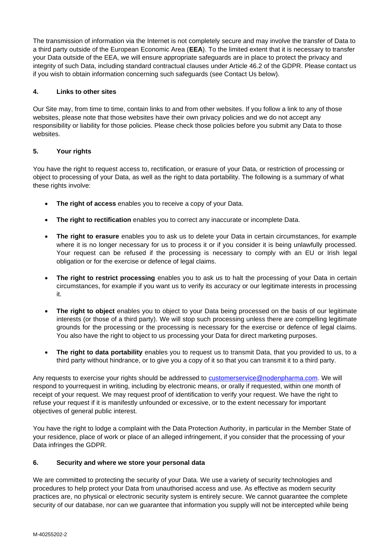The transmission of information via the Internet is not completely secure and may involve the transfer of Data to a third party outside of the European Economic Area (**EEA**). To the limited extent that it is necessary to transfer your Data outside of the EEA, we will ensure appropriate safeguards are in place to protect the privacy and integrity of such Data, including standard contractual clauses under Article 46.2 of the GDPR. Please contact us if you wish to obtain information concerning such safeguards (see Contact Us below).

## **4. Links to other sites**

Our Site may, from time to time, contain links to and from other websites. If you follow a link to any of those websites, please note that those websites have their own privacy policies and we do not accept any responsibility or liability for those policies. Please check those policies before you submit any Data to those websites.

## **5. Your rights**

You have the right to request access to, rectification, or erasure of your Data, or restriction of processing or object to processing of your Data, as well as the right to data portability. The following is a summary of what these rights involve:

- **The right of access** enables you to receive a copy of your Data.
- **The right to rectification** enables you to correct any inaccurate or incomplete Data.
- **The right to erasure** enables you to ask us to delete your Data in certain circumstances, for example where it is no longer necessary for us to process it or if you consider it is being unlawfully processed. Your request can be refused if the processing is necessary to comply with an EU or Irish legal obligation or for the exercise or defence of legal claims.
- **The right to restrict processing** enables you to ask us to halt the processing of your Data in certain circumstances, for example if you want us to verify its accuracy or our legitimate interests in processing it.
- **The right to object** enables you to object to your Data being processed on the basis of our legitimate interests (or those of a third party). We will stop such processing unless there are compelling legitimate grounds for the processing or the processing is necessary for the exercise or defence of legal claims. You also have the right to object to us processing your Data for direct marketing purposes.
- **The right to data portability** enables you to request us to transmit Data, that you provided to us, to a third party without hindrance, or to give you a copy of it so that you can transmit it to a third party.

Any requests to exercise your rights should be addressed to [customerservice@nodenpharma.com](mailto:customerservice@nodenpharma.com)[. W](mailto:info@nodenpharma.com)e will respond to yourrequest in writing, including by electronic means, or orally if requested, within one month of receipt of your request. We may request proof of identification to verify your request. We have the right to refuse your request if it is manifestly unfounded or excessive, or to the extent necessary for important objectives of general public interest.

You have the right to lodge a complaint with the Data Protection Authority, in particular in the Member State of your residence, place of work or place of an alleged infringement, if you consider that the processing of your Data infringes the GDPR.

## **6. Security and where we store your personal data**

We are committed to protecting the security of your Data. We use a variety of security technologies and procedures to help protect your Data from unauthorised access and use. As effective as modern security practices are, no physical or electronic security system is entirely secure. We cannot guarantee the complete security of our database, nor can we guarantee that information you supply will not be intercepted while being